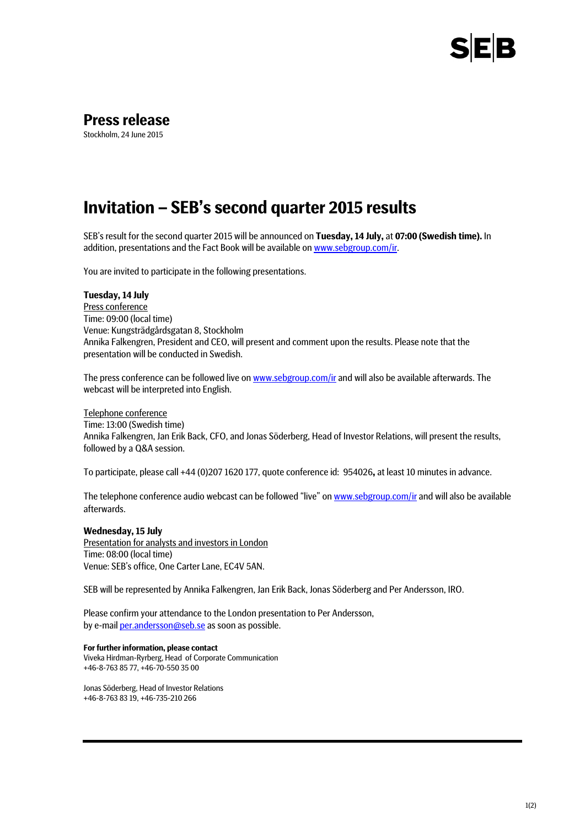

## **Press release**

Stockholm, 24 June 2015

# **Invitation – SEB's second quarter 2015 results**

SEB's result for the second quarter 2015 will be announced on **Tuesday, 14 July,** at **07:00 (Swedish time).** In addition, presentations and the Fact Book will be available on www.sebgroup.com/ir.

You are invited to participate in the following presentations.

### **Tuesday, 14 July**

Press conference Time: 09:00 (local time) Venue: Kungsträdgårdsgatan 8, Stockholm Annika Falkengren, President and CEO, will present and comment upon the results. Please note that the presentation will be conducted in Swedish.

The press conference can be followed live o[n www.sebgroup.com/ir](http://www.sebgroup.com/ir) and will also be available afterwards. The webcast will be interpreted into English.

#### Telephone conference

Time: 13:00 (Swedish time) Annika Falkengren, Jan Erik Back, CFO, and Jonas Söderberg, Head of Investor Relations, will present the results, followed by a Q&A session.

To participate, please call +44 (0)207 1620 177, quote conference id: 954026**,** at least 10 minutes in advance.

The telephone conference audio webcast can be followed "live" on [www.sebgroup.com/ir](http://www.sebgroup.com/ir) and will also be available afterwards.

#### **Wednesday, 15 July**

Presentation for analysts and investors in London Time: 08:00 (local time) Venue: SEB's office, One Carter Lane, EC4V 5AN.

SEB will be represented by Annika Falkengren, Jan Erik Back, Jonas Söderberg and Per Andersson, IRO.

Please confirm your attendance to the London presentation to Per Andersson, by e-mai[l per.andersson@seb.se](mailto:per.andersson@seb.se) as soon as possible.

#### **For further information, please contact**

Viveka Hirdman-Ryrberg, Head of Corporate Communication +46-8-763 85 77, +46-70-550 35 00

Jonas Söderberg, Head of Investor Relations +46-8-763 83 19, +46-735-210 266